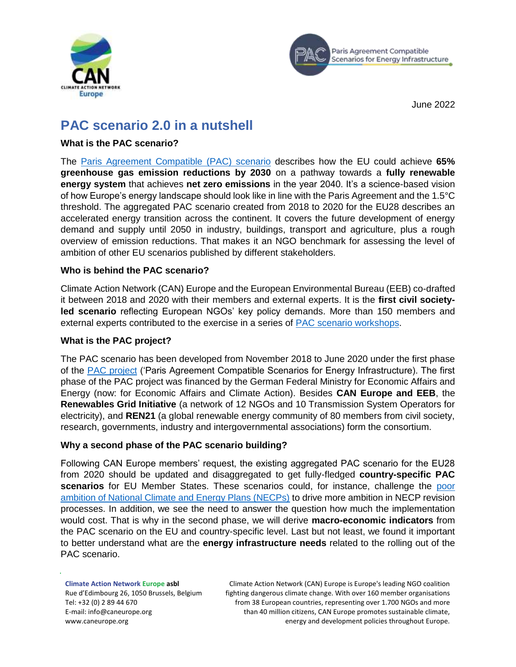



June 2022

# **PAC scenario 2.0 in a nutshell**

# **What is the PAC scenario?**

The [Paris Agreement Compatible \(PAC\) scenario](https://caneurope.org/content/uploads/2020/06/PAC_scenario_technical_summary_29jun20.pdf) describes how the EU could achieve **65% greenhouse gas emission reductions by 2030** on a pathway towards a **fully renewable energy system** that achieves **net zero emissions** in the year 2040. It's a science-based vision of how Europe's energy landscape should look like in line with the Paris Agreement and the 1.5°C threshold. The aggregated PAC scenario created from 2018 to 2020 for the EU28 describes an accelerated energy transition across the continent. It covers the future development of energy demand and supply until 2050 in industry, buildings, transport and agriculture, plus a rough overview of emission reductions. That makes it an NGO benchmark for assessing the level of ambition of other EU scenarios published by different stakeholders.

# **Who is behind the PAC scenario?**

Climate Action Network (CAN) Europe and the European Environmental Bureau (EEB) co-drafted it between 2018 and 2020 with their members and external experts. It is the **first civil societyled scenario** reflecting European NGOs' key policy demands. More than 150 members and external experts contributed to the exercise in a series of [PAC scenario workshops.](https://www.pac-scenarios.eu/workshops/details/news/fourth-scenario-workshop.html)

### **What is the PAC project?**

The PAC scenario has been developed from November 2018 to June 2020 under the first phase of the [PAC project](https://www.pac-scenarios.eu/) ('Paris Agreement Compatible Scenarios for Energy Infrastructure). The first phase of the PAC project was financed by the German Federal Ministry for Economic Affairs and Energy (now: for Economic Affairs and Climate Action). Besides **CAN Europe and EEB**, the **[Renewables Grid Initiative](https://renewables-grid.eu/)** [\(a](https://renewables-grid.eu/) network of 12 NGOs and 10 Transmission System Operators for electricity), and **[REN21](https://www.ren21.net/)** (a global renewable energy community of 80 members from civil society, research, governments, industry and intergovernmental associations) form the consortium.

### **Why a second phase of the PAC scenario building?**

Following CAN Europe members' request, the existing aggregated PAC scenario for the EU28 from 2020 should be updated and disaggregated to get fully-fledged **country-specific PAC scenarios** for EU Member States. These scenarios could, for instance, challenge the [poor](https://caneurope.org/new-report-on-draft-necps-progress-the-clock-is-tucking/)  [ambition of National Climate and Energy Plans \(NECPs\)](https://caneurope.org/new-report-on-draft-necps-progress-the-clock-is-tucking/) to drive more ambition in NECP revision processes. In addition, we see the need to answer the question how much the implementation would cost. That is why in the second phase, we will derive **macro-economic indicators** from the PAC scenario on the EU and country-specific level. Last but not least, we found it important to better understand what are the **energy infrastructure needs** related to the rolling out of the PAC scenario.

**Climate Action Network Europe asbl** Rue d'Edimbourg 26, 1050 Brussels, Belgium Tel: +32 (0) 2 89 44 670 E-mail: info@caneurope.org www.caneurope.org

Climate Action Network (CAN) Europe is Europe's leading NGO coalition fighting dangerous climate change. With over 160 member organisations from 38 European countries, representing over 1.700 NGOs and more than 40 million citizens, CAN Europe promotes sustainable climate, energy and development policies throughout Europe.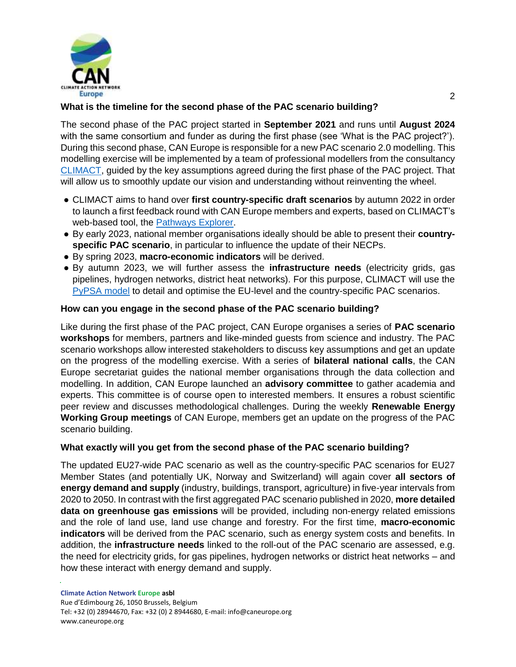

# **What is the timeline for the second phase of the PAC scenario building?**

The second phase of the PAC project started in **September 2021** and runs until **August 2024** with the same consortium and funder as during the first phase (see 'What is the PAC project?'). During this second phase, CAN Europe is responsible for a new PAC scenario 2.0 modelling. This modelling exercise will be implemented by a team of professional modellers from the consultancy [CLIMACT,](https://climact.com/en/) guided by the key assumptions agreed during the first phase of the PAC project. That will allow us to smoothly update our vision and understanding without reinventing the wheel.

- CLIMACT aims to hand over **first country-specific draft scenarios** by autumn 2022 in order to launch a first feedback round with CAN Europe members and experts, based on CLIMACT's web-based tool, the [Pathways Explorer.](https://www.pathwaysexplorer.org/)
- By early 2023, national member organisations ideally should be able to present their **countryspecific PAC scenario**, in particular to influence the update of their NECPs.
- By spring 2023, **macro-economic indicators** will be derived.
- By autumn 2023, we will further assess the **infrastructure needs** (electricity grids, gas pipelines, hydrogen networks, district heat networks). For this purpose, CLIMACT will use the [PyPSA model](https://www.pac-scenarios.eu/fileadmin/user_upload/KIT_Aarhus_University_PAC_scenarios_with_PyPSA-Eur-Sec_15oct20.pdf) to detail and optimise the EU-level and the country-specific PAC scenarios.

### **How can you engage in the second phase of the PAC scenario building?**

Like during the first phase of the PAC project, CAN Europe organises a series of **PAC scenario workshops** for members, partners and like-minded guests from science and industry. The PAC scenario workshops allow interested stakeholders to discuss key assumptions and get an update on the progress of the modelling exercise. With a series of **bilateral national calls**, the CAN Europe secretariat guides the national member organisations through the data collection and modelling. In addition, CAN Europe launched an **advisory committee** to gather academia and experts. This committee is of course open to interested members. It ensures a robust scientific peer review and discusses methodological challenges. During the weekly **Renewable Energy Working Group meetings** of CAN Europe, members get an update on the progress of the PAC scenario building.

### **What exactly will you get from the second phase of the PAC scenario building?**

The updated EU27-wide PAC scenario as well as the country-specific PAC scenarios for EU27 Member States (and potentially UK, Norway and Switzerland) will again cover **all sectors of energy demand and supply** (industry, buildings, transport, agriculture) in five-year intervals from 2020 to 2050. In contrast with the first aggregated PAC scenario published in 2020, **more detailed data on greenhouse gas emissions** will be provided, including non-energy related emissions and the role of land use, land use change and forestry. For the first time, **macro-economic indicators** will be derived from the PAC scenario, such as energy system costs and benefits. In addition, the **infrastructure needs** linked to the roll-out of the PAC scenario are assessed, e.g. the need for electricity grids, for gas pipelines, hydrogen networks or district heat networks – and how these interact with energy demand and supply.